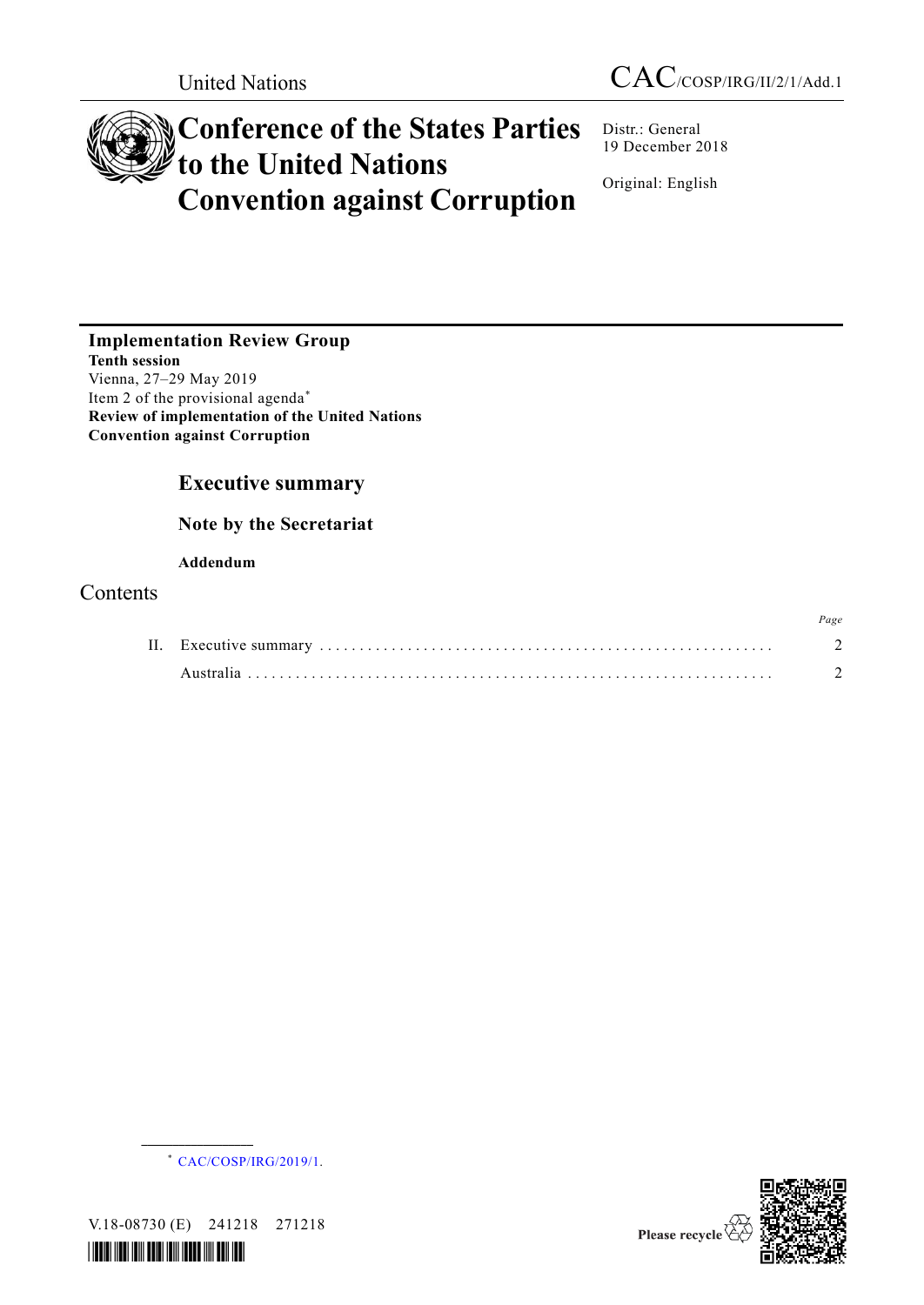# **Conference of the States Parties to the United Nations Convention against Corruption**

Distr.: General 19 December 2018

Original: English

**Implementation Review Group Tenth session** Vienna, 27–29 May 2019 Item 2 of the provisional agenda\* **Review of implementation of the United Nations Convention against Corruption**

# **Executive summary**

**Note by the Secretariat**

# **Addendum**

# Contents



V.18-08730 (E) 241218 271218

**\_\_\_\_\_\_\_\_\_\_\_\_\_\_\_\_\_\_**







*Page*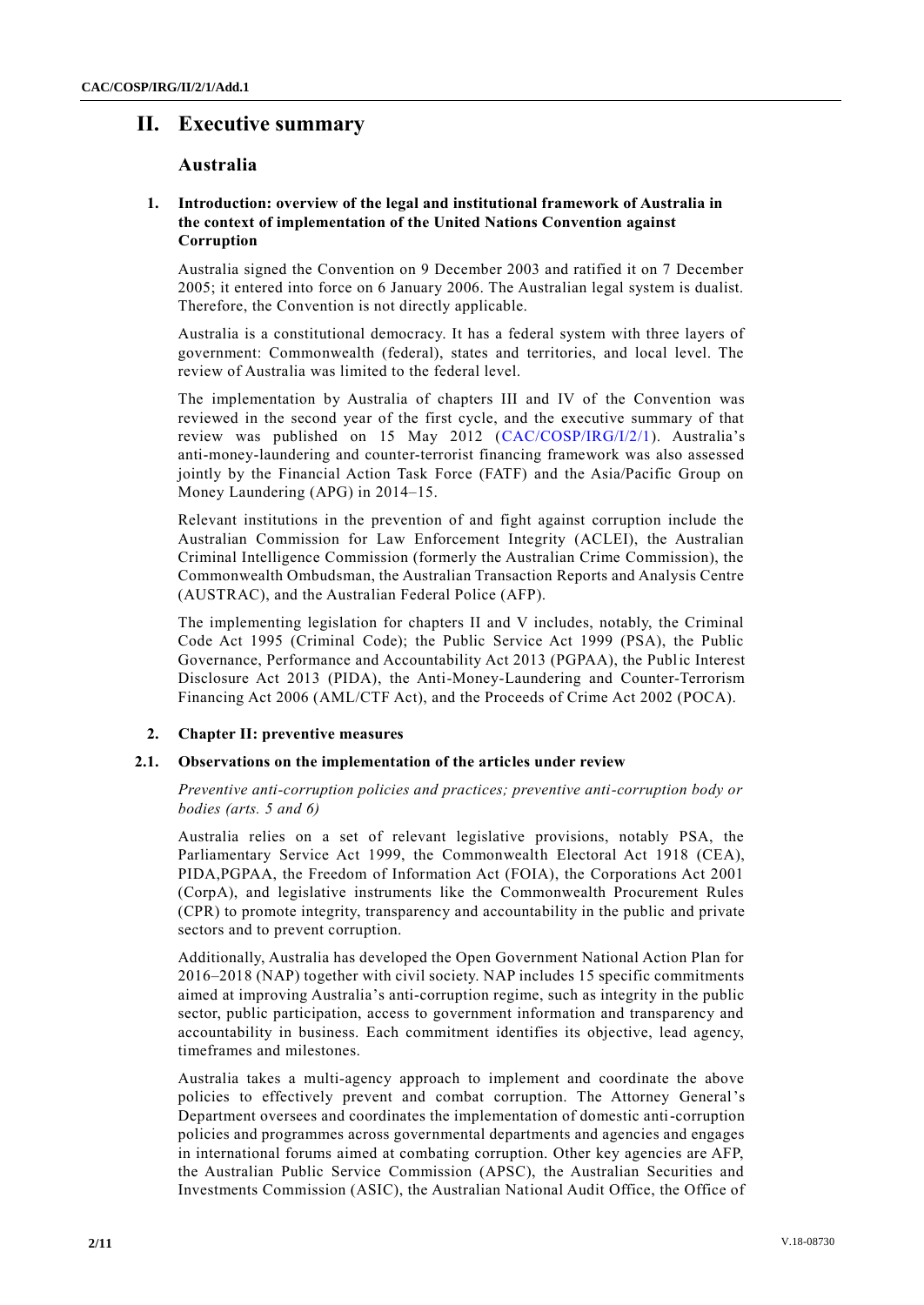# **II. Executive summary**

# **Australia**

# **1. Introduction: overview of the legal and institutional framework of Australia in the context of implementation of the United Nations Convention against Corruption**

Australia signed the Convention on 9 December 2003 and ratified it on 7 December 2005; it entered into force on 6 January 2006. The Australian legal system is dualist. Therefore, the Convention is not directly applicable.

Australia is a constitutional democracy. It has a federal system with three layers of government: Commonwealth (federal), states and territories, and local level. The review of Australia was limited to the federal level.

The implementation by Australia of chapters III and IV of the Convention was reviewed in the second year of the first cycle, and the executive summary of that review was published on 15 May 2012 [\(CAC/COSP/IRG/I/2/1\)](http://undocs.org/CAC/COSP/IRG/I/2/1). Australia's anti-money-laundering and counter-terrorist financing framework was also assessed jointly by the Financial Action Task Force (FATF) and the Asia/Pacific Group on Money Laundering (APG) in 2014–15.

Relevant institutions in the prevention of and fight against corruption include the Australian Commission for Law Enforcement Integrity (ACLEI), the Australian Criminal Intelligence Commission (formerly the Australian Crime Commission), the Commonwealth Ombudsman, the Australian Transaction Reports and Analysis Centre (AUSTRAC), and the Australian Federal Police (AFP).

The implementing legislation for chapters II and V includes, notably, the Criminal Code Act 1995 (Criminal Code); the Public Service Act 1999 (PSA), the Public Governance, Performance and Accountability Act 2013 (PGPAA), the Public Interest Disclosure Act 2013 (PIDA), the Anti-Money-Laundering and Counter-Terrorism Financing Act 2006 (AML/CTF Act), and the Proceeds of Crime Act 2002 (POCA).

## **2. Chapter II: preventive measures**

## **2.1. Observations on the implementation of the articles under review**

*Preventive anti-corruption policies and practices; preventive anti-corruption body or bodies (arts. 5 and 6)*

Australia relies on a set of relevant legislative provisions, notably PSA, the Parliamentary Service Act 1999, the Commonwealth Electoral Act 1918 (CEA), PIDA,PGPAA, the Freedom of Information Act (FOIA), the Corporations Act 2001 (CorpA), and legislative instruments like the Commonwealth Procurement Rules (CPR) to promote integrity, transparency and accountability in the public and private sectors and to prevent corruption.

Additionally, Australia has developed the Open Government National Action Plan for 2016–2018 (NAP) together with civil society. NAP includes 15 specific commitments aimed at improving Australia's anti-corruption regime, such as integrity in the public sector, public participation, access to government information and transparency and accountability in business. Each commitment identifies its objective, lead agency, timeframes and milestones.

Australia takes a multi-agency approach to implement and coordinate the above policies to effectively prevent and combat corruption. The Attorney General's Department oversees and coordinates the implementation of domestic anti-corruption policies and programmes across governmental departments and agencies and engages in international forums aimed at combating corruption. Other key agencies are AFP, the Australian Public Service Commission (APSC), the Australian Securities and Investments Commission (ASIC), the Australian National Audit Office, the Office of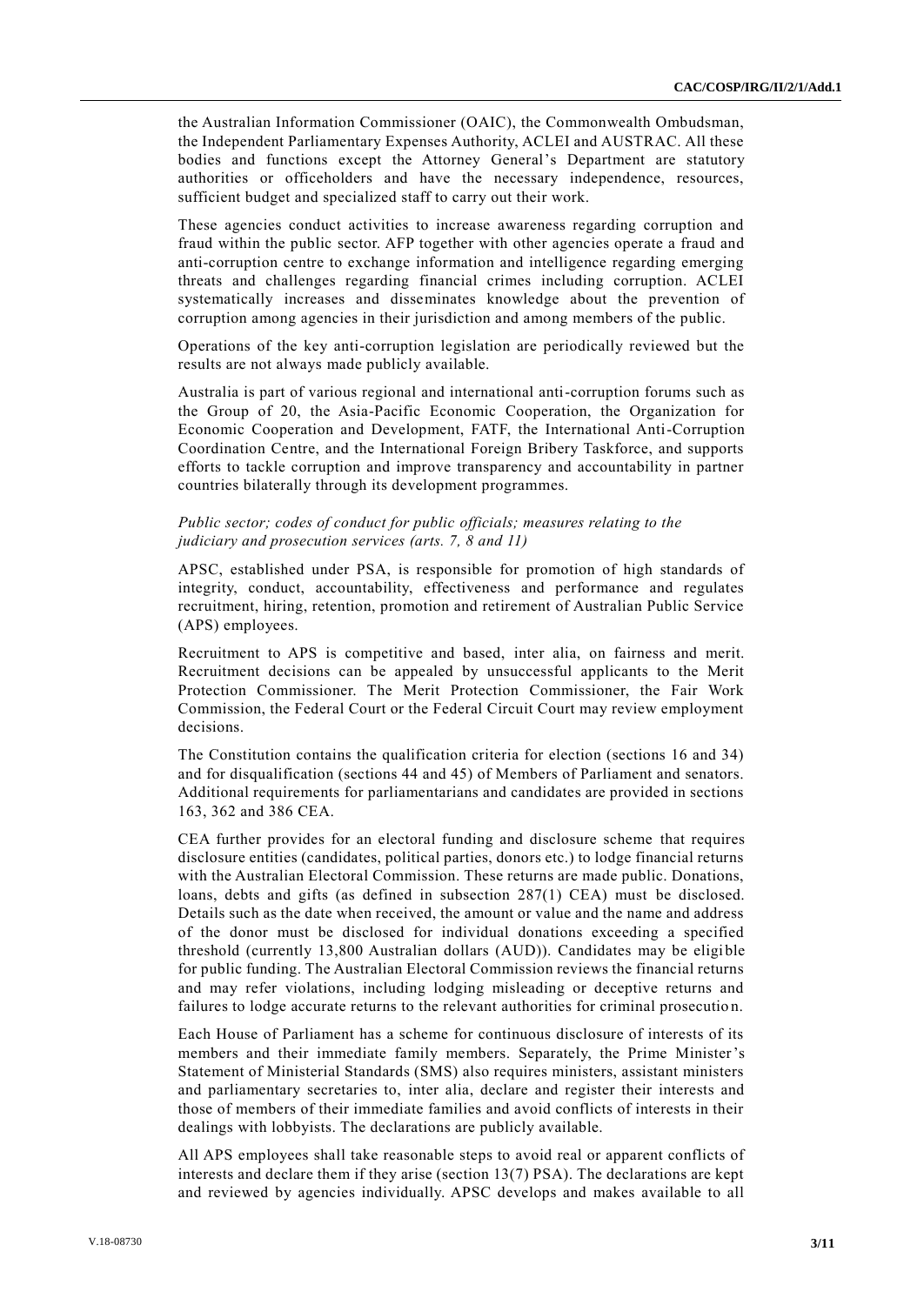the Australian Information Commissioner (OAIC), the Commonwealth Ombudsman, the Independent Parliamentary Expenses Authority, ACLEI and AUSTRAC. All these bodies and functions except the Attorney General's Department are statutory authorities or officeholders and have the necessary independence, resources, sufficient budget and specialized staff to carry out their work.

These agencies conduct activities to increase awareness regarding corruption and fraud within the public sector. AFP together with other agencies operate a fraud and anti-corruption centre to exchange information and intelligence regarding emerging threats and challenges regarding financial crimes including corruption. ACLEI systematically increases and disseminates knowledge about the prevention of corruption among agencies in their jurisdiction and among members of the public.

Operations of the key anti-corruption legislation are periodically reviewed but the results are not always made publicly available.

Australia is part of various regional and international anti-corruption forums such as the Group of 20, the Asia-Pacific Economic Cooperation, the Organization for Economic Cooperation and Development, FATF, the International Anti-Corruption Coordination Centre, and the International Foreign Bribery Taskforce, and supports efforts to tackle corruption and improve transparency and accountability in partner countries bilaterally through its development programmes.

#### *Public sector; codes of conduct for public officials; measures relating to the judiciary and prosecution services (arts. 7, 8 and 11)*

APSC, established under PSA, is responsible for promotion of high standards of integrity, conduct, accountability, effectiveness and performance and regulates recruitment, hiring, retention, promotion and retirement of Australian Public Service (APS) employees.

Recruitment to APS is competitive and based, inter alia, on fairness and merit. Recruitment decisions can be appealed by unsuccessful applicants to the Merit Protection Commissioner. The Merit Protection Commissioner, the Fair Work Commission, the Federal Court or the Federal Circuit Court may review employment decisions.

The Constitution contains the qualification criteria for election (sections 16 and 34) and for disqualification (sections 44 and 45) of Members of Parliament and senators. Additional requirements for parliamentarians and candidates are provided in sections 163, 362 and 386 CEA.

CEA further provides for an electoral funding and disclosure scheme that requires disclosure entities (candidates, political parties, donors etc.) to lodge financial returns with the Australian Electoral Commission. These returns are made public. Donations, loans, debts and gifts (as defined in subsection 287(1) CEA) must be disclosed. Details such as the date when received, the amount or value and the name and address of the donor must be disclosed for individual donations exceeding a specified threshold (currently 13,800 Australian dollars (AUD)). Candidates may be eligible for public funding. The Australian Electoral Commission reviews the financial returns and may refer violations, including lodging misleading or deceptive returns and failures to lodge accurate returns to the relevant authorities for criminal prosecutio n.

Each House of Parliament has a scheme for continuous disclosure of interests of its members and their immediate family members. Separately, the Prime Minister's Statement of Ministerial Standards (SMS) also requires ministers, assistant ministers and parliamentary secretaries to, inter alia, declare and register their interests and those of members of their immediate families and avoid conflicts of interests in their dealings with lobbyists. The declarations are publicly available.

All APS employees shall take reasonable steps to avoid real or apparent conflicts of interests and declare them if they arise (section  $13(7)$  PSA). The declarations are kept and reviewed by agencies individually. APSC develops and makes available to all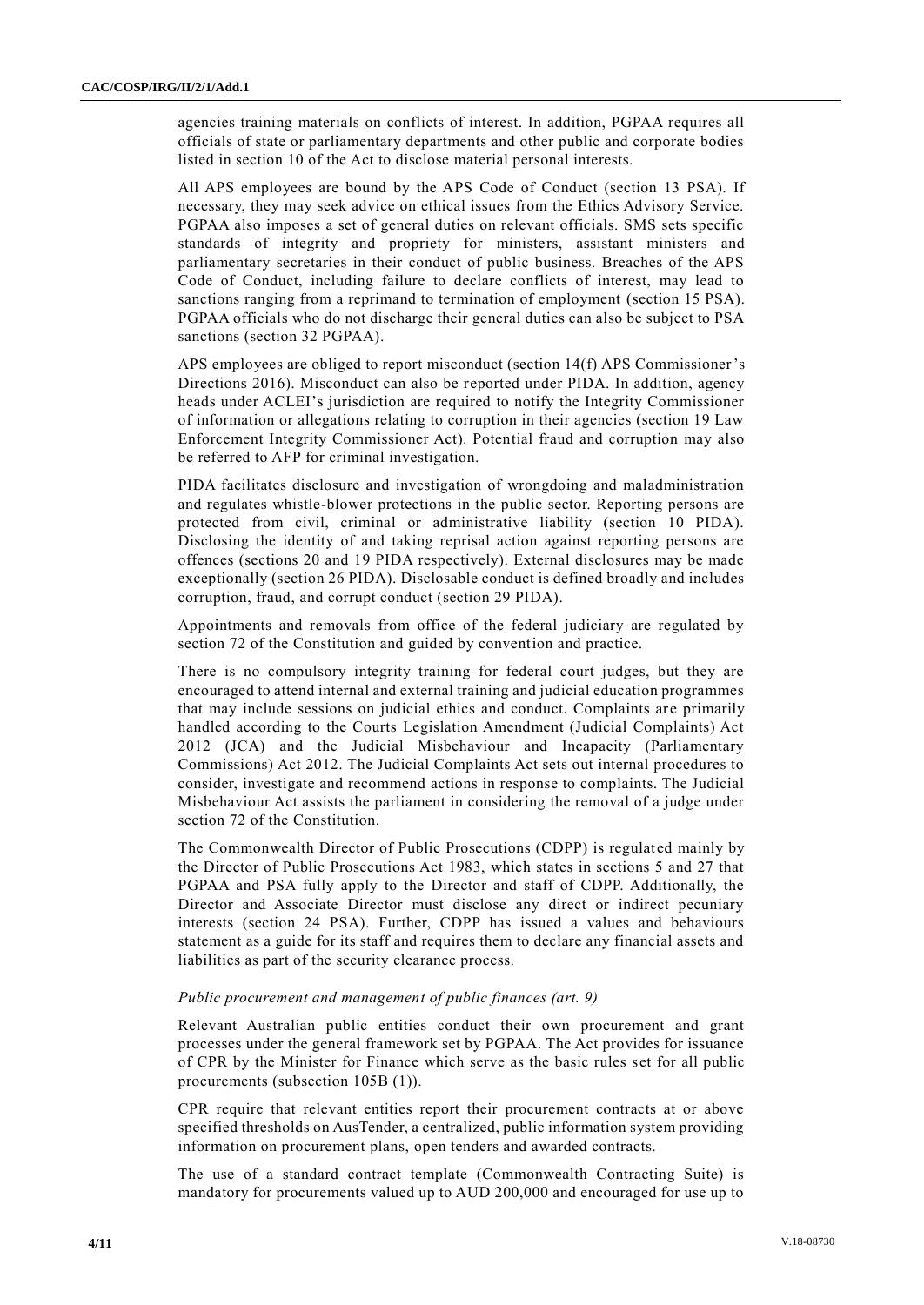agencies training materials on conflicts of interest. In addition, PGPAA requires all officials of state or parliamentary departments and other public and corporate bodies listed in section 10 of the Act to disclose material personal interests.

All APS employees are bound by the APS Code of Conduct (section 13 PSA). If necessary, they may seek advice on ethical issues from the Ethics Advisory Service. PGPAA also imposes a set of general duties on relevant officials. SMS sets specific standards of integrity and propriety for ministers, assistant ministers and parliamentary secretaries in their conduct of public business. Breaches of the APS Code of Conduct, including failure to declare conflicts of interest, may lead to sanctions ranging from a reprimand to termination of employment (section 15 PSA). PGPAA officials who do not discharge their general duties can also be subject to PSA sanctions (section 32 PGPAA).

APS employees are obliged to report misconduct (section 14(f) APS Commissioner's Directions 2016). Misconduct can also be reported under PIDA. In addition, agency heads under ACLEI's jurisdiction are required to notify the Integrity Commissioner of information or allegations relating to corruption in their agencies (section 19 Law Enforcement Integrity Commissioner Act). Potential fraud and corruption may also be referred to AFP for criminal investigation.

PIDA facilitates disclosure and investigation of wrongdoing and maladministration and regulates whistle-blower protections in the public sector. Reporting persons are protected from civil, criminal or administrative liability (section 10 PIDA). Disclosing the identity of and taking reprisal action against reporting persons are offences (sections 20 and 19 PIDA respectively). External disclosures may be made exceptionally (section 26 PIDA). Disclosable conduct is defined broadly and includes corruption, fraud, and corrupt conduct (section 29 PIDA).

Appointments and removals from office of the federal judiciary are regulated by section 72 of the Constitution and guided by convention and practice.

There is no compulsory integrity training for federal court judges, but they are encouraged to attend internal and external training and judicial education programmes that may include sessions on judicial ethics and conduct. Complaints are primarily handled according to the Courts Legislation Amendment (Judicial Complaints) Act 2012 (JCA) and the Judicial Misbehaviour and Incapacity (Parliamentary Commissions) Act 2012. The Judicial Complaints Act sets out internal procedures to consider, investigate and recommend actions in response to complaints. The Judicial Misbehaviour Act assists the parliament in considering the removal of a judge under section 72 of the Constitution.

The Commonwealth Director of Public Prosecutions (CDPP) is regulated mainly by the Director of Public Prosecutions Act 1983, which states in sections 5 and 27 that PGPAA and PSA fully apply to the Director and staff of CDPP. Additionally, the Director and Associate Director must disclose any direct or indirect pecuniary interests (section 24 PSA). Further, CDPP has issued a values and behaviours statement as a guide for its staff and requires them to declare any financial assets and liabilities as part of the security clearance process.

## *Public procurement and management of public finances (art. 9)*

Relevant Australian public entities conduct their own procurement and grant processes under the general framework set by PGPAA. The Act provides for issuance of CPR by the Minister for Finance which serve as the basic rules set for all public procurements (subsection 105B (1)).

CPR require that relevant entities report their procurement contracts at or above specified thresholds on AusTender, a centralized, public information system providing information on procurement plans, open tenders and awarded contracts.

The use of a standard contract template (Commonwealth Contracting Suite) is mandatory for procurements valued up to AUD 200,000 and encouraged for use up to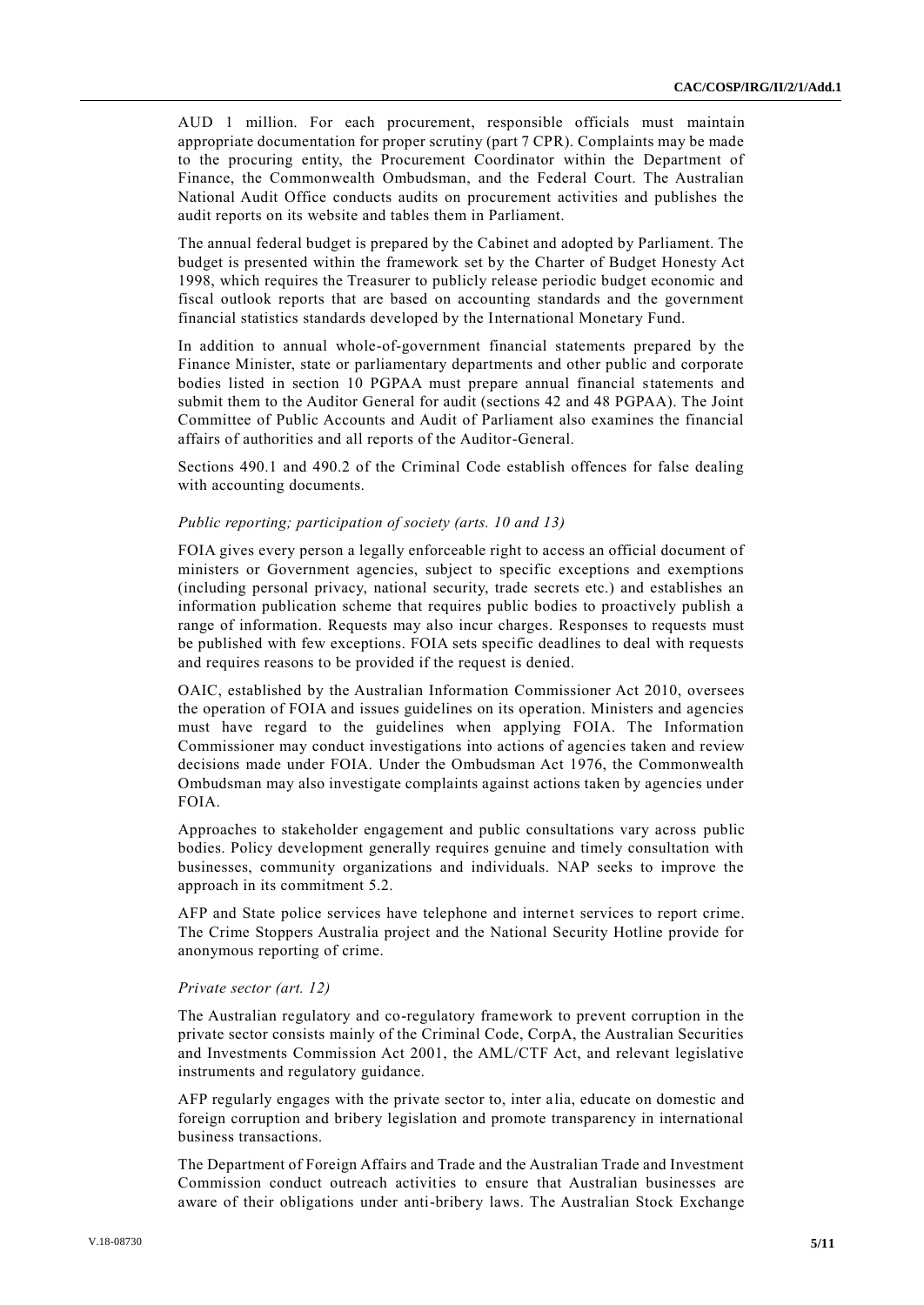AUD 1 million. For each procurement, responsible officials must maintain appropriate documentation for proper scrutiny (part 7 CPR). Complaints may be made to the procuring entity, the Procurement Coordinator within the Department of Finance, the Commonwealth Ombudsman, and the Federal Court. The Australian National Audit Office conducts audits on procurement activities and publishes the audit reports on its website and tables them in Parliament.

The annual federal budget is prepared by the Cabinet and adopted by Parliament. The budget is presented within the framework set by the Charter of Budget Honesty Act 1998, which requires the Treasurer to publicly release periodic budget economic and fiscal outlook reports that are based on accounting standards and the government financial statistics standards developed by the International Monetary Fund.

In addition to annual whole-of-government financial statements prepared by the Finance Minister, state or parliamentary departments and other public and corporate bodies listed in section 10 PGPAA must prepare annual financial statements and submit them to the Auditor General for audit (sections 42 and 48 PGPAA). The Joint Committee of Public Accounts and Audit of Parliament also examines the financial affairs of authorities and all reports of the Auditor-General.

Sections 490.1 and 490.2 of the Criminal Code establish offences for false dealing with accounting documents.

#### *Public reporting; participation of society (arts. 10 and 13)*

FOIA gives every person a legally enforceable right to access an official document of ministers or Government agencies, subject to specific exceptions and exemptions (including personal privacy, national security, trade secrets etc.) and establishes an information publication scheme that requires public bodies to proactively publish a range of information. Requests may also incur charges. Responses to requests must be published with few exceptions. FOIA sets specific deadlines to deal with requests and requires reasons to be provided if the request is denied.

OAIC, established by the Australian Information Commissioner Act 2010, oversees the operation of FOIA and issues guidelines on its operation. Ministers and agencies must have regard to the guidelines when applying FOIA. The Information Commissioner may conduct investigations into actions of agencies taken and review decisions made under FOIA. Under the Ombudsman Act 1976, the Commonwealth Ombudsman may also investigate complaints against actions taken by agencies under FOIA.

Approaches to stakeholder engagement and public consultations vary across public bodies. Policy development generally requires genuine and timely consultation with businesses, community organizations and individuals. NAP seeks to improve the approach in its commitment 5.2.

AFP and State police services have telephone and internet services to report crime. The Crime Stoppers Australia project and the National Security Hotline provide for anonymous reporting of crime.

#### *Private sector (art. 12)*

The Australian regulatory and co-regulatory framework to prevent corruption in the private sector consists mainly of the Criminal Code, CorpA, the Australian Securities and Investments Commission Act 2001, the AML/CTF Act, and relevant legislative instruments and regulatory guidance.

AFP regularly engages with the private sector to, inter alia, educate on domestic and foreign corruption and bribery legislation and promote transparency in international business transactions.

The Department of Foreign Affairs and Trade and the Australian Trade and Investment Commission conduct outreach activities to ensure that Australian businesses are aware of their obligations under anti-bribery laws. The Australian Stock Exchange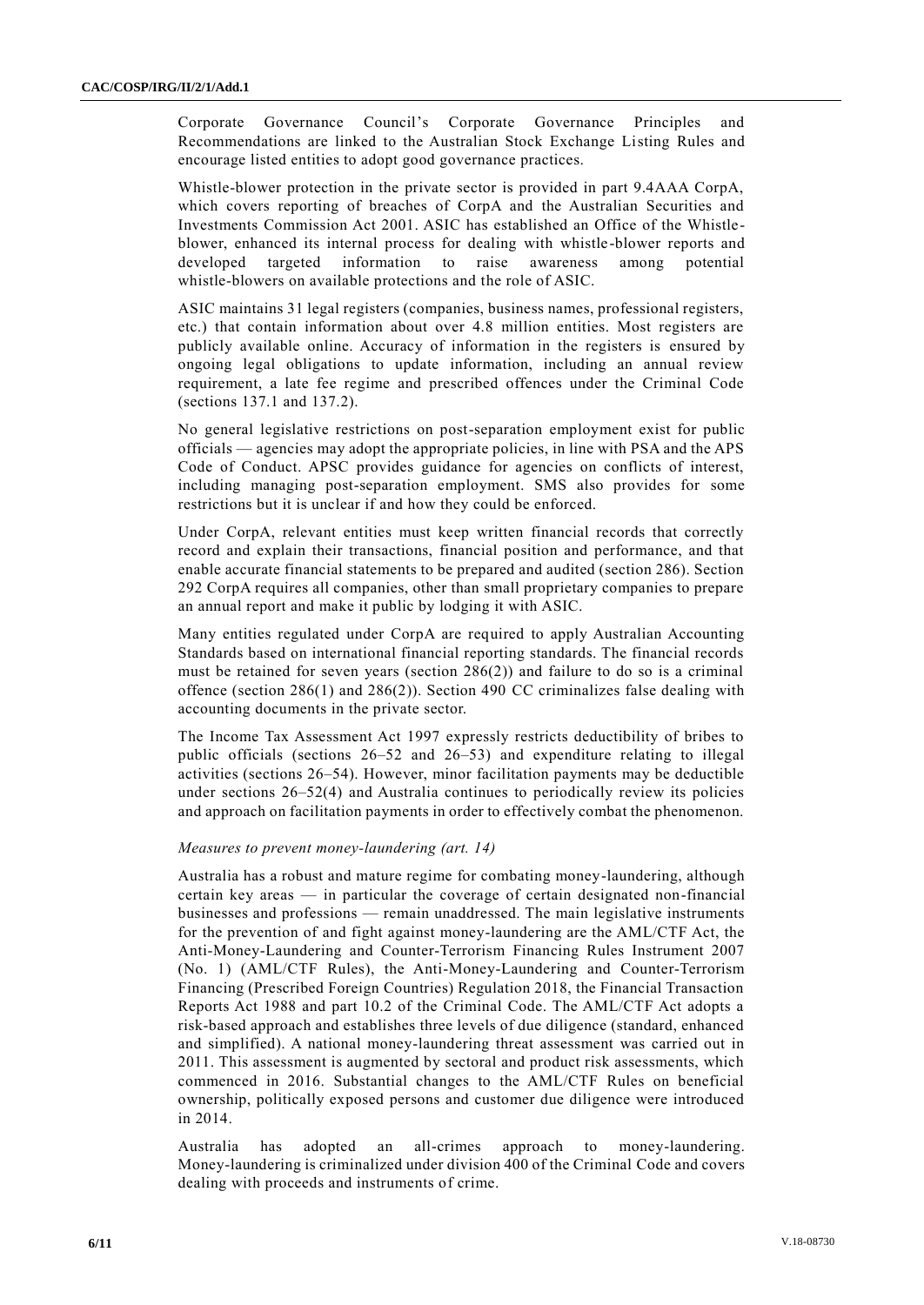Corporate Governance Council's Corporate Governance Principles and Recommendations are linked to the Australian Stock Exchange Listing Rules and encourage listed entities to adopt good governance practices.

Whistle-blower protection in the private sector is provided in part 9.4AAA CorpA, which covers reporting of breaches of CorpA and the Australian Securities and Investments Commission Act 2001. ASIC has established an Office of the Whistleblower, enhanced its internal process for dealing with whistle-blower reports and developed targeted information to raise awareness among potential whistle-blowers on available protections and the role of ASIC.

ASIC maintains 31 legal registers (companies, business names, professional registers, etc.) that contain information about over 4.8 million entities. Most registers are publicly available online. Accuracy of information in the registers is ensured by ongoing legal obligations to update information, including an annual review requirement, a late fee regime and prescribed offences under the Criminal Code (sections 137.1 and 137.2).

No general legislative restrictions on post-separation employment exist for public officials — agencies may adopt the appropriate policies, in line with PSA and the APS Code of Conduct. APSC provides guidance for agencies on conflicts of interest, including managing post-separation employment. SMS also provides for some restrictions but it is unclear if and how they could be enforced.

Under CorpA, relevant entities must keep written financial records that correctly record and explain their transactions, financial position and performance, and that enable accurate financial statements to be prepared and audited (section 286). Section 292 CorpA requires all companies, other than small proprietary companies to prepare an annual report and make it public by lodging it with ASIC.

Many entities regulated under CorpA are required to apply Australian Accounting Standards based on international financial reporting standards. The financial records must be retained for seven years (section 286(2)) and failure to do so is a criminal offence (section 286(1) and 286(2)). Section 490 CC criminalizes false dealing with accounting documents in the private sector.

The Income Tax Assessment Act 1997 expressly restricts deductibility of bribes to public officials (sections 26–52 and 26–53) and expenditure relating to illegal activities (sections 26–54). However, minor facilitation payments may be deductible under sections  $26-52(4)$  and Australia continues to periodically review its policies and approach on facilitation payments in order to effectively combat the phenomenon.

## *Measures to prevent money-laundering (art. 14)*

Australia has a robust and mature regime for combating money-laundering, although certain key areas — in particular the coverage of certain designated non-financial businesses and professions — remain unaddressed. The main legislative instruments for the prevention of and fight against money-laundering are the AML/CTF Act, the Anti-Money-Laundering and Counter-Terrorism Financing Rules Instrument 2007 (No. 1) (AML/CTF Rules), the Anti-Money-Laundering and Counter-Terrorism Financing (Prescribed Foreign Countries) Regulation 2018, the Financial Transaction Reports Act 1988 and part 10.2 of the Criminal Code. The AML/CTF Act adopts a risk-based approach and establishes three levels of due diligence (standard, enhanced and simplified). A national money-laundering threat assessment was carried out in 2011. This assessment is augmented by sectoral and product risk assessments, which commenced in 2016. Substantial changes to the AML/CTF Rules on beneficial ownership, politically exposed persons and customer due diligence were introduced in 2014.

Australia has adopted an all-crimes approach to money-laundering. Money-laundering is criminalized under division 400 of the Criminal Сode and covers dealing with proceeds and instruments of crime.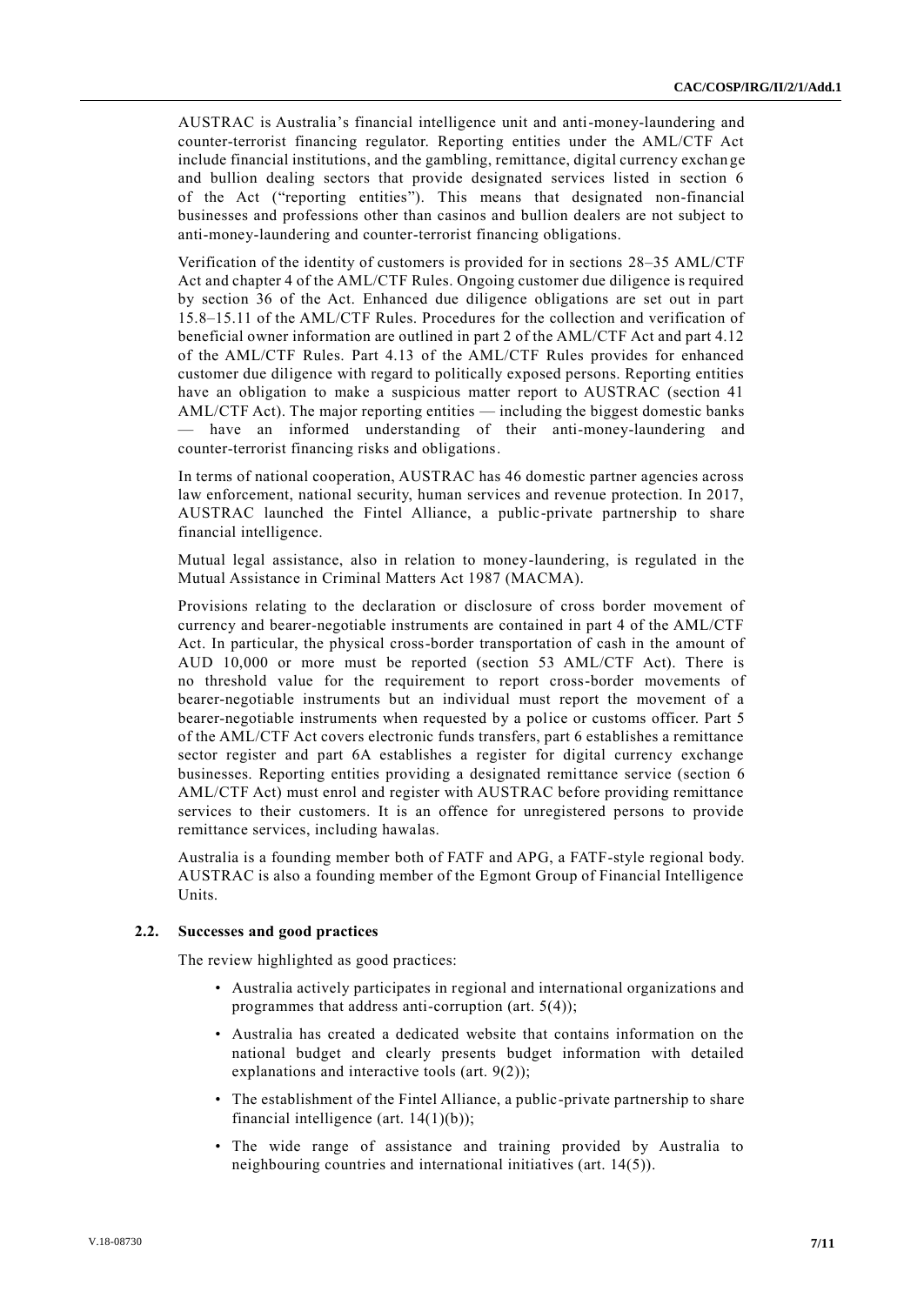AUSTRAC is Australia's financial intelligence unit and anti-money-laundering and counter-terrorist financing regulator. Reporting entities under the AML/CTF Act include financial institutions, and the gambling, remittance, digital currency exchan ge and bullion dealing sectors that provide designated services listed in section 6 of the Act ("reporting entities"). This means that designated non-financial businesses and professions other than casinos and bullion dealers are not subject to anti-money-laundering and counter-terrorist financing obligations.

Verification of the identity of customers is provided for in sections 28–35 AML/CTF Act and chapter 4 of the AML/CTF Rules. Ongoing customer due diligence is required by section 36 of the Act. Enhanced due diligence obligations are set out in part 15.8–15.11 of the AML/CTF Rules. Procedures for the collection and verification of beneficial owner information are outlined in part 2 of the AML/CTF Act and part 4.12 of the AML/CTF Rules. Part 4.13 of the AML/CTF Rules provides for enhanced customer due diligence with regard to politically exposed persons. Reporting entities have an obligation to make a suspicious matter report to AUSTRAC (section 41 AML/CTF Act). The major reporting entities — including the biggest domestic banks have an informed understanding of their anti-money-laundering and counter-terrorist financing risks and obligations.

In terms of national cooperation, AUSTRAC has 46 domestic partner agencies across law enforcement, national security, human services and revenue protection. In 2017, AUSTRAC launched the Fintel Alliance, a public-private partnership to share financial intelligence.

Mutual legal assistance, also in relation to money-laundering, is regulated in the Mutual Assistance in Criminal Matters Act 1987 (MACMA).

Provisions relating to the declaration or disclosure of cross border movement of currency and bearer-negotiable instruments are contained in part 4 of the AML/CTF Act. In particular, the physical cross-border transportation of cash in the amount of AUD 10,000 or more must be reported (section 53 AML/CTF Act). There is no threshold value for the requirement to report cross-border movements of bearer-negotiable instruments but an individual must report the movement of a bearer-negotiable instruments when requested by a police or customs officer. Part 5 of the AML/CTF Act covers electronic funds transfers, part 6 establishes a remittance sector register and part 6A establishes a register for digital currency exchange businesses. Reporting entities providing a designated remittance service (section 6 AML/CTF Act) must enrol and register with AUSTRAC before providing remittance services to their customers. It is an offence for unregistered persons to provide remittance services, including hawalas.

Australia is a founding member both of FATF and APG, a FATF-style regional body. AUSTRAC is also a founding member of the Egmont Group of Financial Intelligence **I**Inite

#### **2.2. Successes and good practices**

The review highlighted as good practices:

- Australia actively participates in regional and international organizations and programmes that address anti-corruption (art. 5(4));
- Australia has created a dedicated website that contains information on the national budget and clearly presents budget information with detailed explanations and interactive tools (art. 9(2));
- The establishment of the Fintel Alliance, a public-private partnership to share financial intelligence (art.  $14(1)(b)$ );
- The wide range of assistance and training provided by Australia to neighbouring countries and international initiatives (art. 14(5)).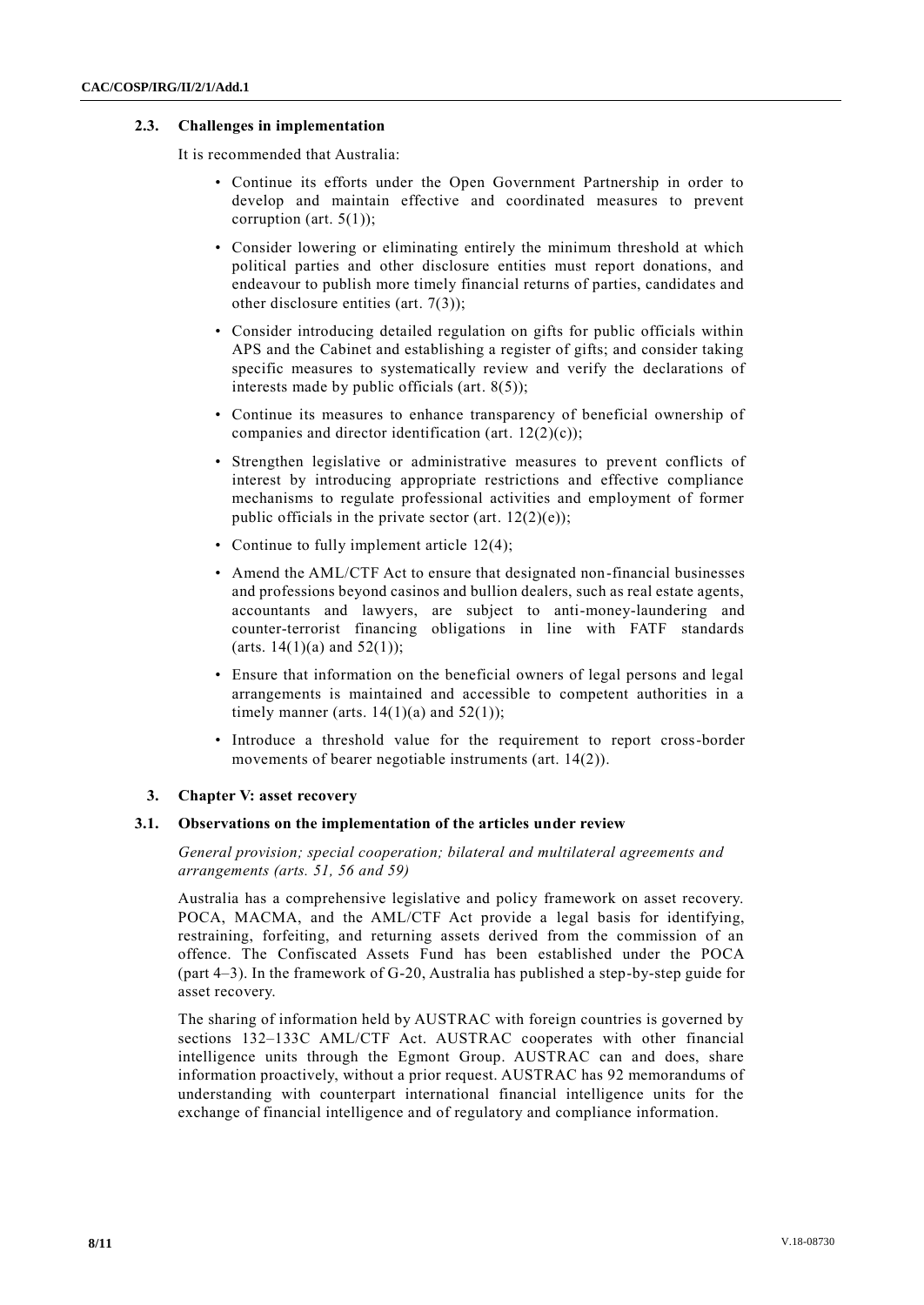## **2.3. Challenges in implementation**

It is recommended that Australia:

- Continue its efforts under the Open Government Partnership in order to develop and maintain effective and coordinated measures to prevent corruption (art. 5(1));
- Consider lowering or eliminating entirely the minimum threshold at which political parties and other disclosure entities must report donations, and endeavour to publish more timely financial returns of parties, candidates and other disclosure entities (art. 7(3));
- Consider introducing detailed regulation on gifts for public officials within APS and the Cabinet and establishing a register of gifts; and consider taking specific measures to systematically review and verify the declarations of interests made by public officials (art. 8(5));
- Continue its measures to enhance transparency of beneficial ownership of companies and director identification (art. 12(2)(c));
- Strengthen legislative or administrative measures to prevent conflicts of interest by introducing appropriate restrictions and effective compliance mechanisms to regulate professional activities and employment of former public officials in the private sector (art.  $12(2)(e)$ );
- Continue to fully implement article 12(4);
- Amend the AML/CTF Act to ensure that designated non-financial businesses and professions beyond casinos and bullion dealers, such as real estate agents, accountants and lawyers, are subject to anti-money-laundering and counter-terrorist financing obligations in line with FATF standards (arts.  $14(1)(a)$  and  $52(1)$ );
- Ensure that information on the beneficial owners of legal persons and legal arrangements is maintained and accessible to competent authorities in a timely manner (arts.  $14(1)(a)$  and  $52(1)$ );
- Introduce a threshold value for the requirement to report cross-border movements of bearer negotiable instruments (art. 14(2)).

#### **3. Chapter V: asset recovery**

#### **3.1. Observations on the implementation of the articles under review**

*General provision; special cooperation; bilateral and multilateral agreements and arrangements (arts. 51, 56 and 59)*

Australia has a comprehensive legislative and policy framework on asset recovery. POCA, MACMA, and the AML/CTF Act provide a legal basis for identifying, restraining, forfeiting, and returning assets derived from the commission of an offence. The Confiscated Assets Fund has been established under the POCA (part 4–3). In the framework of G-20, Australia has published a step-by-step guide for asset recovery.

The sharing of information held by AUSTRAC with foreign countries is governed by sections 132–133C AML/CTF Act. AUSTRAC cooperates with other financial intelligence units through the Egmont Group. AUSTRAC can and does, share information proactively, without a prior request. AUSTRAC has 92 memorandums of understanding with counterpart international financial intelligence units for the exchange of financial intelligence and of regulatory and compliance information.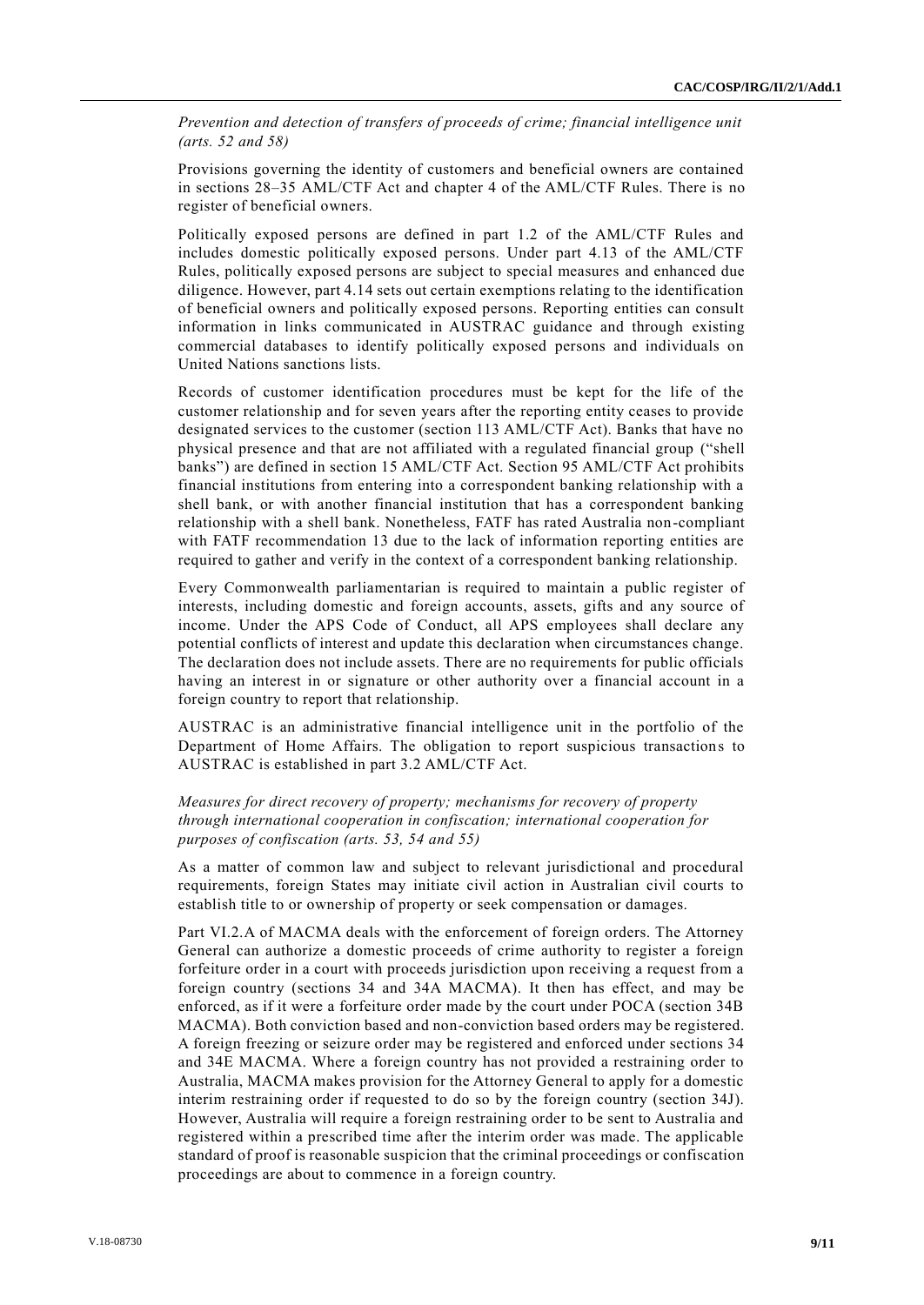*Prevention and detection of transfers of proceeds of crime; financial intelligence unit (arts. 52 and 58)*

Provisions governing the identity of customers and beneficial owners are contained in sections 28–35 AML/CTF Act and chapter 4 of the AML/CTF Rules. There is no register of beneficial owners.

Politically exposed persons are defined in part 1.2 of the AML/CTF Rules and includes domestic politically exposed persons. Under part 4.13 of the AML/CTF Rules, politically exposed persons are subject to special measures and enhanced due diligence. However, part 4.14 sets out certain exemptions relating to the identification of beneficial owners and politically exposed persons. Reporting entities can consult information in links communicated in AUSTRAC guidance and through existing commercial databases to identify politically exposed persons and individuals on United Nations sanctions lists.

Records of customer identification procedures must be kept for the life of the customer relationship and for seven years after the reporting entity ceases to provide designated services to the customer (section 113 AML/CTF Act). Banks that have no physical presence and that are not affiliated with a regulated financial group ("shell banks") are defined in section 15 AML/CTF Act. Section 95 AML/CTF Act prohibits financial institutions from entering into a correspondent banking relationship with a shell bank, or with another financial institution that has a correspondent banking relationship with a shell bank. Nonetheless, FATF has rated Australia non-compliant with FATF recommendation 13 due to the lack of information reporting entities are required to gather and verify in the context of a correspondent banking relationship.

Every Commonwealth parliamentarian is required to maintain a public register of interests, including domestic and foreign accounts, assets, gifts and any source of income. Under the APS Code of Conduct, all APS employees shall declare any potential conflicts of interest and update this declaration when circumstances change. The declaration does not include assets. There are no requirements for public officials having an interest in or signature or other authority over a financial account in a foreign country to report that relationship.

AUSTRAC is an administrative financial intelligence unit in the portfolio of the Department of Home Affairs. The obligation to report suspicious transactions to AUSTRAC is established in part 3.2 AML/CTF Act.

# *Measures for direct recovery of property; mechanisms for recovery of property through international cooperation in confiscation; international cooperation for purposes of confiscation (arts. 53, 54 and 55)*

As a matter of common law and subject to relevant jurisdictional and procedural requirements, foreign States may initiate civil action in Australian civil courts to establish title to or ownership of property or seek compensation or damages.

Part VI.2.A of MACMA deals with the enforcement of foreign orders. The Attorney General can authorize a domestic proceeds of crime authority to register a foreign forfeiture order in a court with proceeds jurisdiction upon receiving a request from a foreign country (sections 34 and 34A MACMA). It then has effect, and may be enforced, as if it were a forfeiture order made by the court under POCA (section 34B MACMA). Both conviction based and non-conviction based orders may be registered. A foreign freezing or seizure order may be registered and enforced under sections 34 and 34E MACMA. Where a foreign country has not provided a restraining order to Australia, MACMA makes provision for the Attorney General to apply for a domestic interim restraining order if requested to do so by the foreign country (section 34J). However, Australia will require a foreign restraining order to be sent to Australia and registered within a prescribed time after the interim order was made. The applicable standard of proof is reasonable suspicion that the criminal proceedings or confiscation proceedings are about to commence in a foreign country.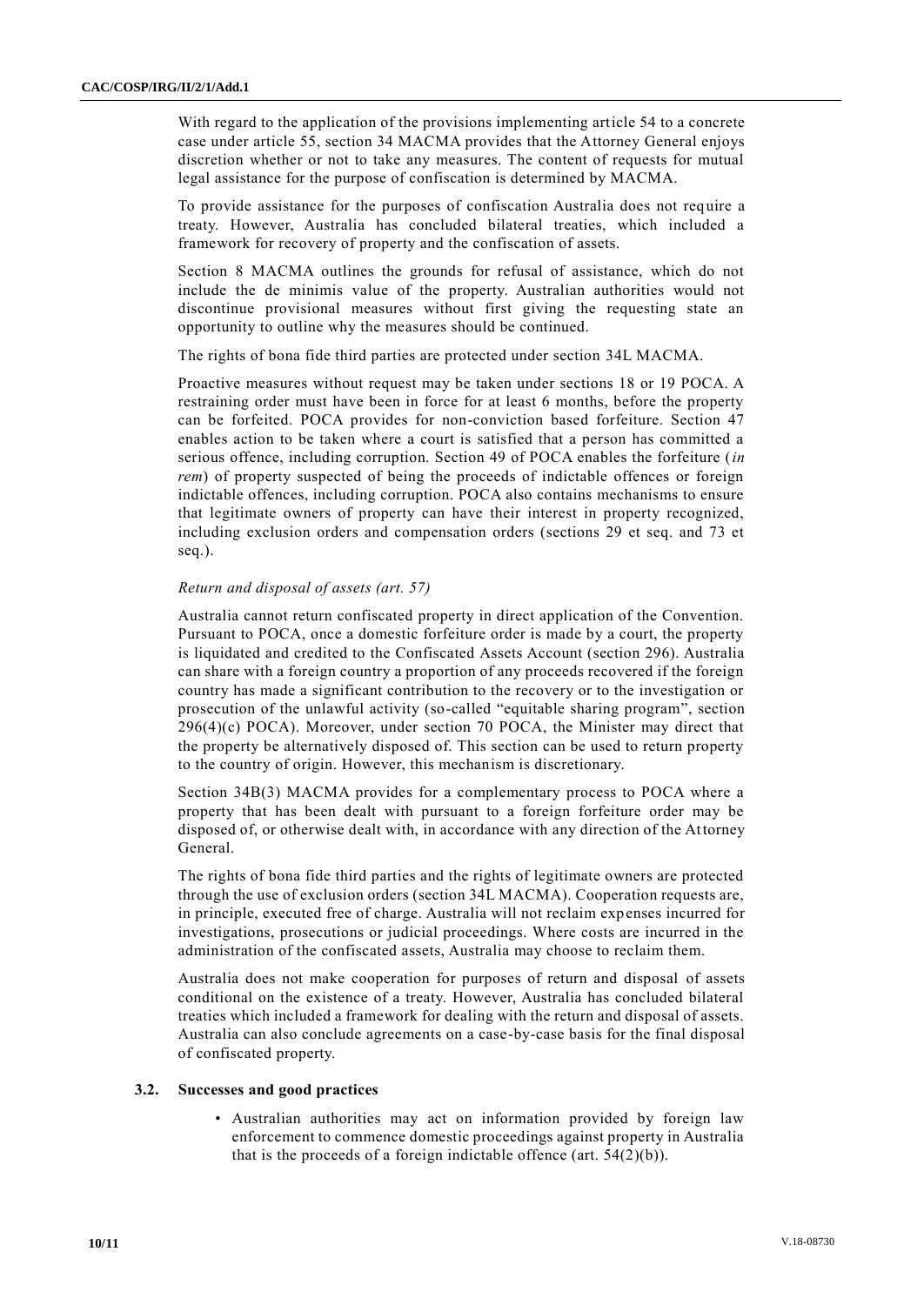With regard to the application of the provisions implementing article 54 to a concrete case under article 55, section 34 MACMA provides that the Attorney General enjoys discretion whether or not to take any measures. The content of requests for mutual legal assistance for the purpose of confiscation is determined by MACMA.

To provide assistance for the purposes of confiscation Australia does not require a treaty. However, Australia has concluded bilateral treaties, which included a framework for recovery of property and the confiscation of assets.

Section 8 MACMA outlines the grounds for refusal of assistance, which do not include the de minimis value of the property. Australian authorities would not discontinue provisional measures without first giving the requesting state an opportunity to outline why the measures should be continued.

The rights of bona fide third parties are protected under section 34L MACMA.

Proactive measures without request may be taken under sections 18 or 19 POCA. A restraining order must have been in force for at least 6 months, before the property can be forfeited. POCA provides for non-conviction based forfeiture. Section 47 enables action to be taken where a court is satisfied that a person has committed a serious offence, including corruption. Section 49 of POCA enables the forfeiture (*in rem*) of property suspected of being the proceeds of indictable offences or foreign indictable offences, including corruption. POCA also contains mechanisms to ensure that legitimate owners of property can have their interest in property recognized, including exclusion orders and compensation orders (sections 29 et seq. and 73 et seq.).

#### *Return and disposal of assets (art. 57)*

Australia cannot return confiscated property in direct application of the Convention. Pursuant to POCA, once a domestic forfeiture order is made by a court, the property is liquidated and credited to the Confiscated Assets Account (section 296). Australia can share with a foreign country a proportion of any proceeds recovered if the foreign country has made a significant contribution to the recovery or to the investigation or prosecution of the unlawful activity (so-called "equitable sharing program", section 296(4)(c) POCA). Moreover, under section 70 POCA, the Minister may direct that the property be alternatively disposed of. This section can be used to return property to the country of origin. However, this mechanism is discretionary.

Section 34B(3) MACMA provides for a complementary process to POCA where a property that has been dealt with pursuant to a foreign forfeiture order may be disposed of, or otherwise dealt with, in accordance with any direction of the Attorney General.

The rights of bona fide third parties and the rights of legitimate owners are protected through the use of exclusion orders (section 34L MACMA). Cooperation requests are, in principle, executed free of charge. Australia will not reclaim expenses incurred for investigations, prosecutions or judicial proceedings. Where costs are incurred in the administration of the confiscated assets, Australia may choose to reclaim them.

Australia does not make cooperation for purposes of return and disposal of assets conditional on the existence of a treaty. However, Australia has concluded bilateral treaties which included a framework for dealing with the return and disposal of assets. Australia can also conclude agreements on a case-by-case basis for the final disposal of confiscated property.

#### **3.2. Successes and good practices**

• Australian authorities may act on information provided by foreign law enforcement to commence domestic proceedings against property in Australia that is the proceeds of a foreign indictable offence (art.  $54(2)(b)$ ).